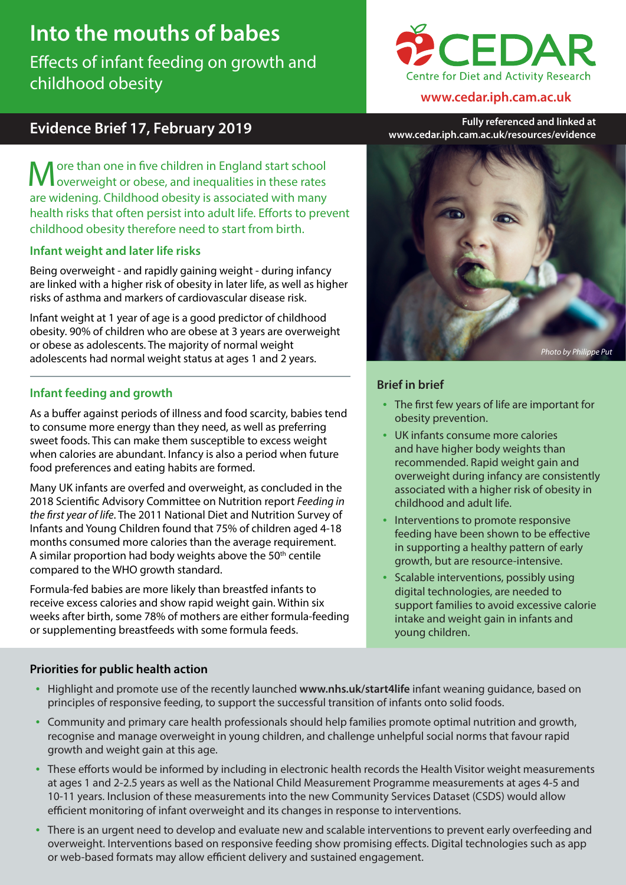# **Into the mouths of babes**

Effects of infant feeding on growth and childhood obesity



### **www.cedar.iph.cam.ac.uk**

**Evidence Brief 17, February 2019 Fully referenced and linked at www.cedar.iph.cam.ac.uk/resources/evidence**

More than one in five children in England start school overweight or obese, and inequalities in these rates are widening. Childhood obesity is associated with many health risks that often persist into adult life. Efforts to prevent childhood obesity therefore need to start from birth.

# **Infant weight and later life risks**

Being overweight - and rapidly gaining weight - during infancy are linked with a higher risk of obesity in later life, as well as higher risks of asthma and markers of cardiovascular disease risk.

Infant weight at 1 year of age is a good predictor of childhood obesity. 90% of children who are obese at 3 years are overweight or obese as adolescents. The majority of normal weight adolescents had normal weight status at ages 1 and 2 years.

# **Infant feeding and growth**

As a buffer against periods of illness and food scarcity, babies tend to consume more energy than they need, as well as preferring sweet foods. This can make them susceptible to excess weight when calories are abundant. Infancy is also a period when future food preferences and eating habits are formed.

Many UK infants are overfed and overweight, as concluded in the 2018 Scientific Advisory Committee on Nutrition report *Feeding in the first year of life*. The 2011 National Diet and Nutrition Survey of Infants and Young Children found that 75% of children aged 4-18 months consumed more calories than the average requirement. A similar proportion had body weights above the  $50<sup>th</sup>$  centile compared to the WHO growth standard.

Formula-fed babies are more likely than breastfed infants to receive excess calories and show rapid weight gain. Within six weeks after birth, some 78% of mothers are either formula-feeding or supplementing breastfeeds with some formula feeds.



# **Brief in brief**

- The first few years of life are important for obesity prevention.
- UK infants consume more calories and have higher body weights than recommended. Rapid weight gain and overweight during infancy are consistently associated with a higher risk of obesity in childhood and adult life.
- Interventions to promote responsive feeding have been shown to be effective in supporting a healthy pattern of early growth, but are resource-intensive.
- Scalable interventions, possibly using digital technologies, are needed to support families to avoid excessive calorie intake and weight gain in infants and young children.

# **Priorities for public health action**

- Highlight and promote use of the recently launched **www.nhs.uk/start4life** infant weaning guidance, based on principles of responsive feeding, to support the successful transition of infants onto solid foods.
- Community and primary care health professionals should help families promote optimal nutrition and growth, recognise and manage overweight in young children, and challenge unhelpful social norms that favour rapid growth and weight gain at this age.
- These efforts would be informed by including in electronic health records the Health Visitor weight measurements at ages 1 and 2-2.5 years as well as the National Child Measurement Programme measurements at ages 4-5 and 10-11 years. Inclusion of these measurements into the new Community Services Dataset (CSDS) would allow efficient monitoring of infant overweight and its changes in response to interventions.
- There is an urgent need to develop and evaluate new and scalable interventions to prevent early overfeeding and overweight. Interventions based on responsive feeding show promising effects. Digital technologies such as app or web-based formats may allow efficient delivery and sustained engagement.